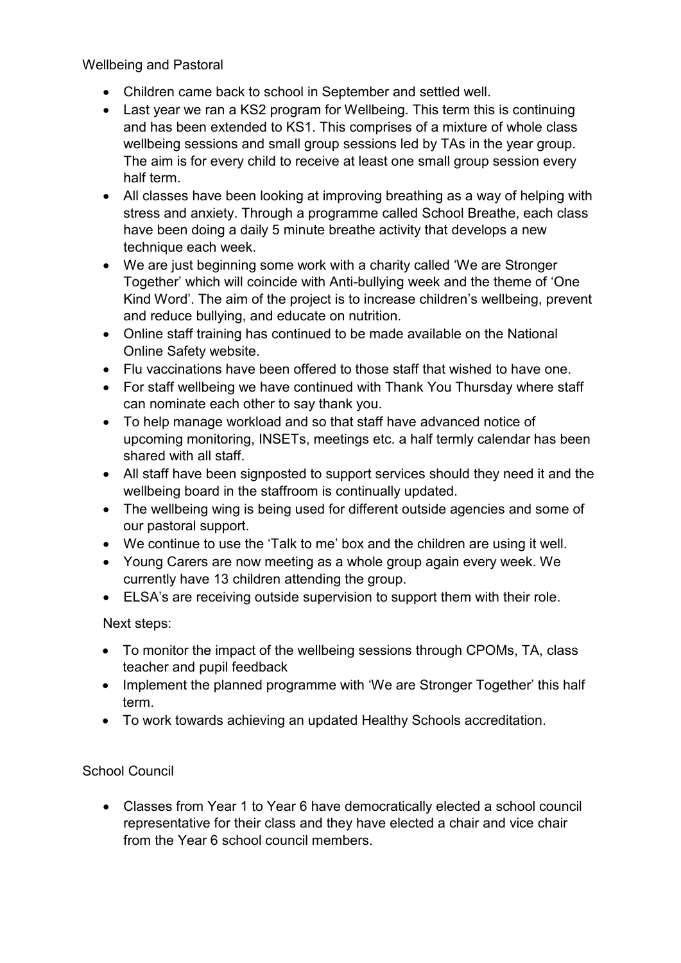Wellbeing and Pastoral

- Children came back to school in September and settled well.
- Last year we ran a KS2 program for Wellbeing. This term this is continuing and has been extended to KS1. This comprises of a mixture of whole class wellbeing sessions and small group sessions led by TAs in the year group. The aim is for every child to receive at least one small group session every half term.
- All classes have been looking at improving breathing as a way of helping with stress and anxiety. Through a programme called School Breathe, each class have been doing a daily 5 minute breathe activity that develops a new technique each week.
- We are just beginning some work with a charity called 'We are Stronger Together' which will coincide with Anti-bullying week and the theme of 'One Kind Word'. The aim of the project is to increase children's wellbeing, prevent and reduce bullying, and educate on nutrition.
- Online staff training has continued to be made available on the National Online Safety website.
- Flu vaccinations have been offered to those staff that wished to have one.
- For staff wellbeing we have continued with Thank You Thursday where staff can nominate each other to say thank you.
- To help manage workload and so that staff have advanced notice of upcoming monitoring, INSETs, meetings etc. a half termly calendar has been shared with all staff.
- All staff have been signposted to support services should they need it and the wellbeing board in the staffroom is continually updated.
- The wellbeing wing is being used for different outside agencies and some of our pastoral support.
- We continue to use the 'Talk to me' box and the children are using it well.
- Young Carers are now meeting as a whole group again every week. We currently have 13 children attending the group.
- ELSA's are receiving outside supervision to support them with their role.

Next steps:

- To monitor the impact of the wellbeing sessions through CPOMs, TA, class teacher and pupil feedback
- Implement the planned programme with 'We are Stronger Together' this half term.
- To work towards achieving an updated Healthy Schools accreditation.

## School Council

• Classes from Year 1 to Year 6 have democratically elected a school council representative for their class and they have elected a chair and vice chair from the Year 6 school council members.